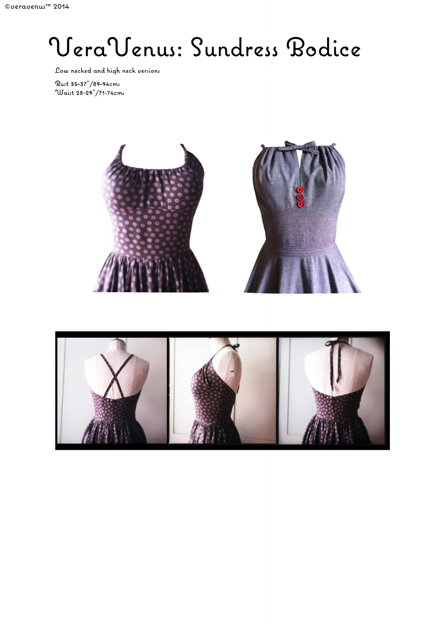## VeraVenus: Sundress Bodice

Low necked and high neck versions

 $\text{But } 35 - 37 \text{''} / 89 - 94 \text{cm}$ Waist 28-29"/71-74cms



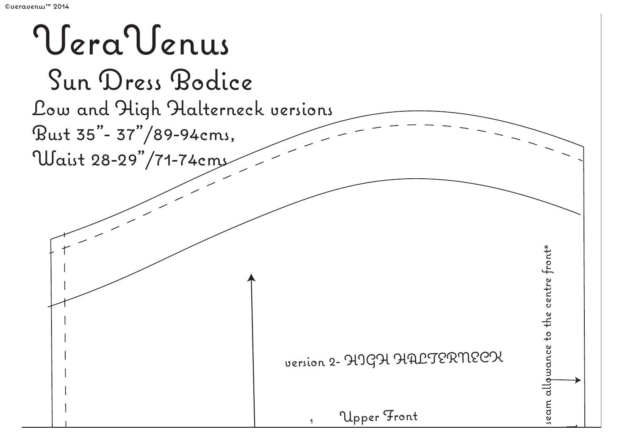# VeraVenus Sun Dress Bodice Low and High Halterneck versions Bust 35"- 37"/89-94cms, Waist 28-29"/71-74cms seam allowance to the centre front\* seam allqwance to the centre front\* version 2- HIGH HALTERNECK Upper Front 1 $\overline{\phantom{a}}$ cut 1 on C.F.folder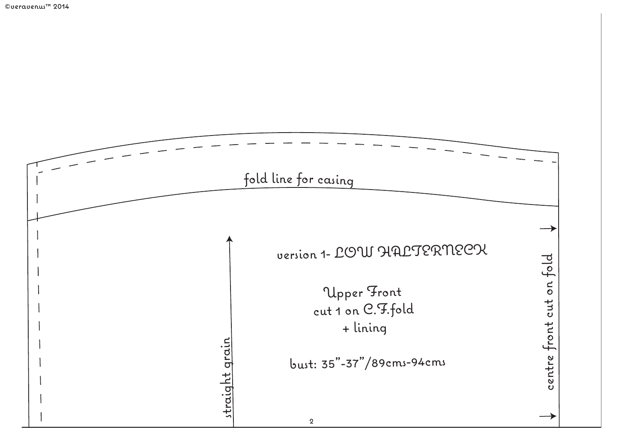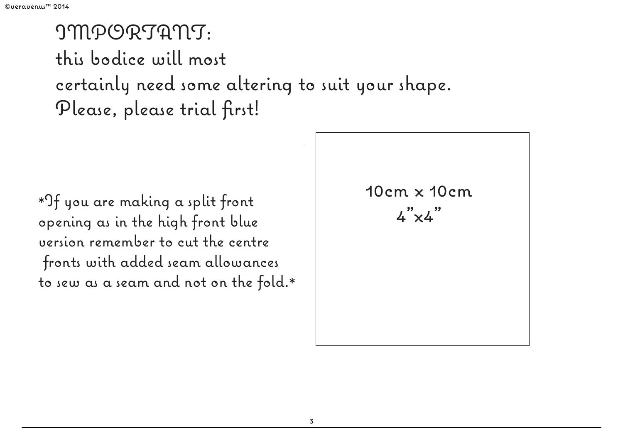### IMPORTANT: this bodice will most certainly need some altering to suit your shape. Please, please trial first!

```
*If you are making a split front \begin{array}{ccc} \n \ast 0 & \text{if} & \text{if} & \text{if} & \text{if} & \text{if} & \text{if} & \text{if} & \text{if} & \text{if} & \text{if} & \text{if} & \text{if} & \text{if} & \text{if} & \text{if} & \text{if} & \text{if} & \text{if} & \text{if} & \text{if} & \text{if} & \text{if} & \text{if} & \text{if} & \text{if} & \text{if} & \text{if} & \text{if} & \text{if}opening as in the high front blue 
version remember to cut the centre
   fronts with added seam allowances
to sew as a seam and not on the fold.*
```
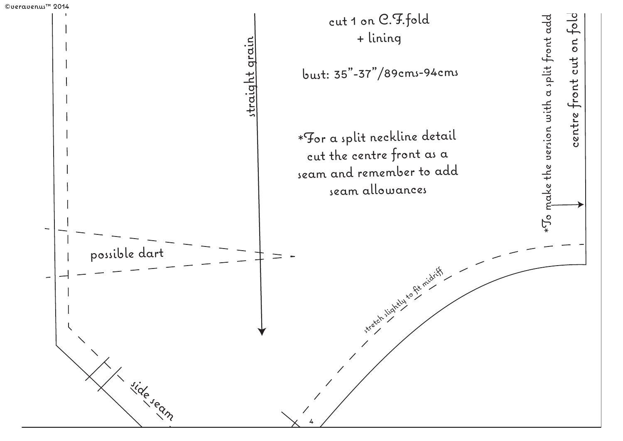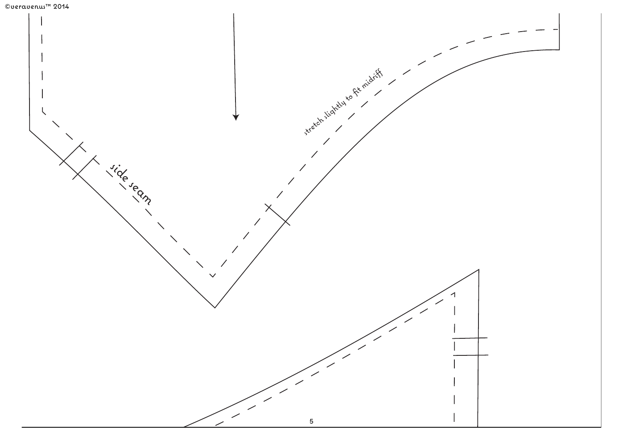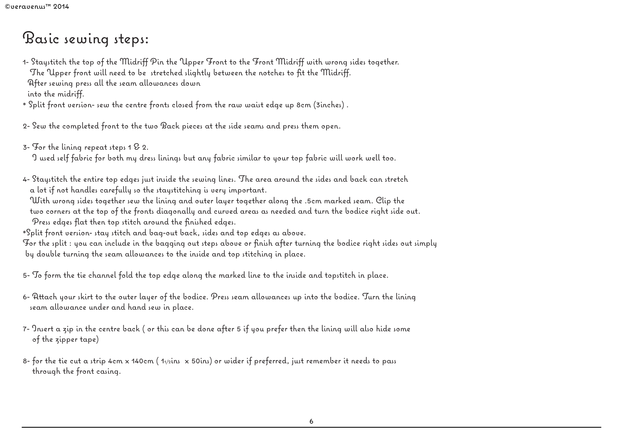#### Basic sewing steps:

1- Staystitch the top of the Midriff Pin the Upper Front to the Front Midriff with wrong sides together. The Upper front will need to be stretched slightly between the notches to fit the Midriff. After sewing press all the seam allowances down into the midriff.

- \* Split front version- sew the centre fronts closed from the raw waist edge up 8cm (3inches) .
- 2- Sew the completed front to the two Back pieces at the side seams and press them open.
- 3- For the lining repeat steps 1 & 2. I used self fabric for both my dress linings but any fabric similar to your top fabric will work well too.
- 4- Staystitch the entire top edges just inside the sewing lines. The area around the sides and back can stretch a lot if not handles carefully so the staystitching is very important.
- With wrong sides together sew the lining and outer layer together along the .5cm marked seam. Clip the two corners at the top of the fronts diagonally and curved areas as needed and turn the bodice right side out. Press edges flat then top stitch around the finished edges.
- \*Split front version- stay stitch and bag-out back, sides and top edges as above.

For the split : you can include in the bagging out steps above or finish after turning the bodice right sides out simply by double turning the seam allowances to the inside and top stitching in place.

5- To form the tie channel fold the top edge along the marked line to the inside and topstitch in place.

- 6- Attach your skirt to the outer layer of the bodice. Press seam allowances up into the bodice. Turn the lining seam allowance under and hand sew in place.
- 7- Insert a zip in the centre back ( or this can be done after 5 if you prefer then the lining will also hide some of the zipper tape)
- 8- for the tie cut a strip 4cm x 140cm ( $1/2$ ins x 50ins) or wider if preferred, just remember it needs to pass through the front casing.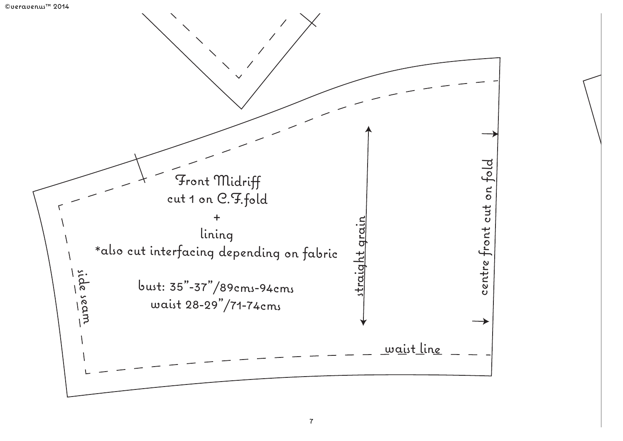#### ©veravenus™ 2014

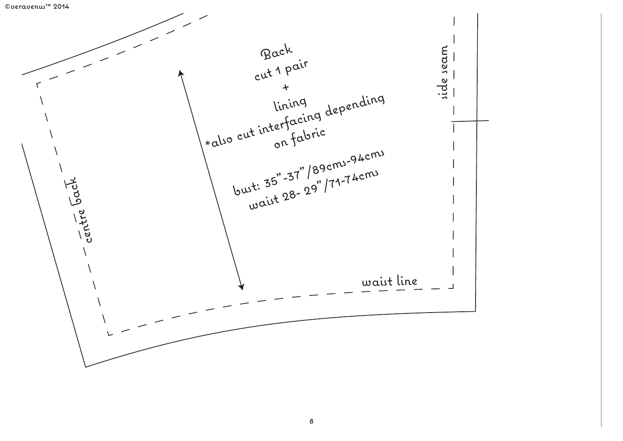